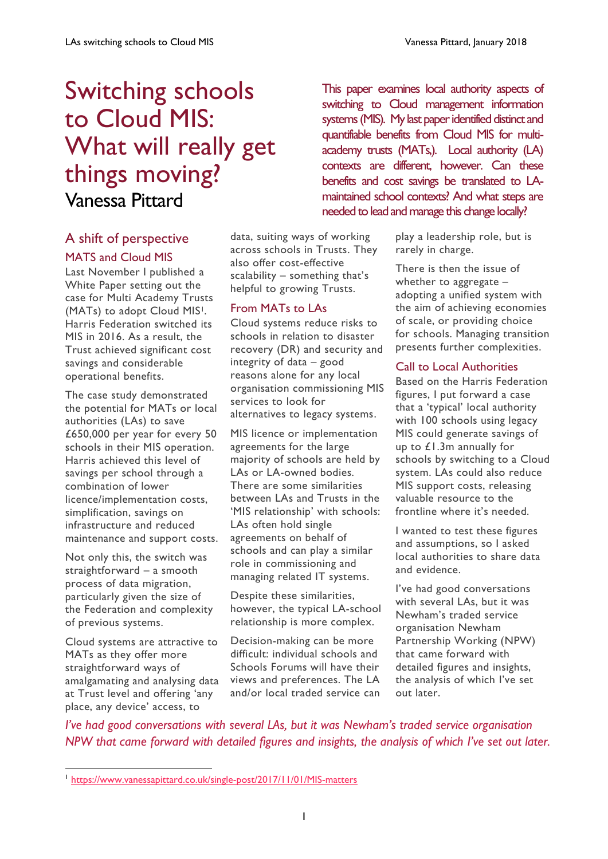# Switching schools to Cloud MIS: What will really get things moving? Vanessa Pittard

# A shift of perspective MATS and Cloud MIS

Last November I published a White Paper setting out the case for Multi Academy Trusts (MATs) to adopt Cloud MIS1. Harris Federation switched its MIS in 2016. As a result, the Trust achieved significant cost savings and considerable operational benefits.

The case study demonstrated the potential for MATs or local authorities (LAs) to save £650,000 per year for every 50 schools in their MIS operation. Harris achieved this level of savings per school through a combination of lower licence/implementation costs, simplification, savings on infrastructure and reduced maintenance and support costs.

Not only this, the switch was straightforward – a smooth process of data migration, particularly given the size of the Federation and complexity of previous systems.

Cloud systems are attractive to MATs as they offer more straightforward ways of amalgamating and analysing data at Trust level and offering 'any place, any device' access, to

 $\overline{a}$ 

data, suiting ways of working across schools in Trusts. They also offer cost-effective scalability – something that's helpful to growing Trusts.

## From MATs to LAs

Cloud systems reduce risks to schools in relation to disaster recovery (DR) and security and integrity of data – good reasons alone for any local organisation commissioning MIS services to look for alternatives to legacy systems.

MIS licence or implementation agreements for the large majority of schools are held by LAs or LA-owned bodies. There are some similarities between LAs and Trusts in the 'MIS relationship' with schools: LAs often hold single agreements on behalf of schools and can play a similar role in commissioning and managing related IT systems.

Despite these similarities, however, the typical LA-school relationship is more complex.

Decision-making can be more difficult: individual schools and Schools Forums will have their views and preferences. The LA and/or local traded service can

This paper examines local authority aspects of switching to Cloud management information systems (MIS). My last paper identified distinct and quantifiable benefits from Cloud MIS for multiacademy trusts (MATs,). Local authority (LA) contexts are different, however. Can these benefits and cost savings be translated to LAmaintained school contexts? And what steps are needed to lead and manage this change locally?

> play a leadership role, but is rarely in charge.

There is then the issue of whether to aggregate – adopting a unified system with the aim of achieving economies of scale, or providing choice for schools. Managing transition presents further complexities.

## Call to Local Authorities

Based on the Harris Federation figures, I put forward a case that a 'typical' local authority with 100 schools using legacy MIS could generate savings of up to £1.3m annually for schools by switching to a Cloud system. LAs could also reduce MIS support costs, releasing valuable resource to the frontline where it's needed.

I wanted to test these figures and assumptions, so I asked local authorities to share data and evidence.

I've had good conversations with several LAs, but it was Newham's traded service organisation Newham Partnership Working (NPW) that came forward with detailed figures and insights, the analysis of which I've set out later.

*I've had good conversations with several LAs, but it was Newham's traded service organisation NPW that came forward with detailed figures and insights, the analysis of which I've set out later.*

<sup>1</sup> <https://www.vanessapittard.co.uk/single-post/2017/11/01/MIS-matters>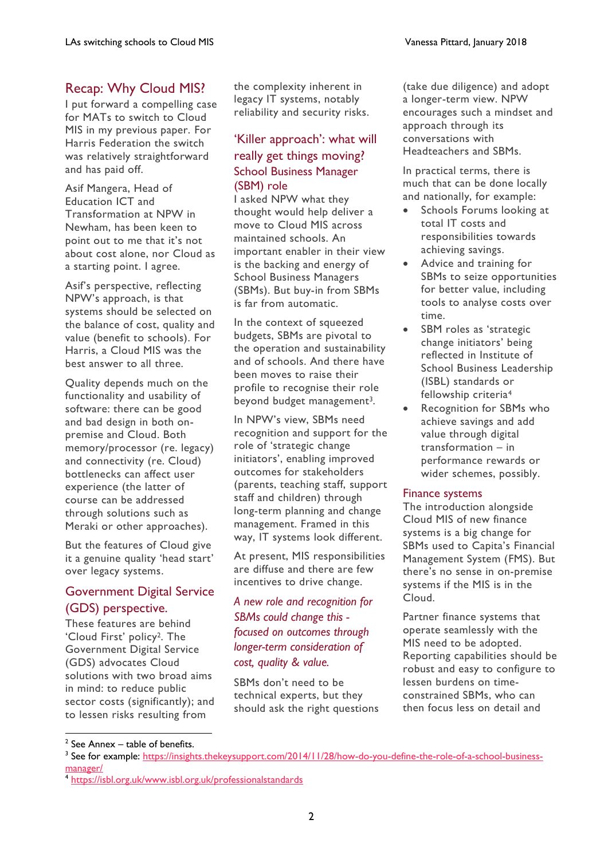# Recap: Why Cloud MIS?

I put forward a compelling case for MATs to switch to Cloud MIS in my previous paper. For Harris Federation the switch was relatively straightforward and has paid off.

Asif Mangera, Head of Education ICT and Transformation at NPW in Newham, has been keen to point out to me that it's not about cost alone, nor Cloud as a starting point. I agree.

Asif's perspective, reflecting NPW's approach, is that systems should be selected on the balance of cost, quality and value (benefit to schools). For Harris, a Cloud MIS was the best answer to all three.

Quality depends much on the functionality and usability of software: there can be good and bad design in both onpremise and Cloud. Both memory/processor (re. legacy) and connectivity (re. Cloud) bottlenecks can affect user experience (the latter of course can be addressed through solutions such as Meraki or other approaches).

But the features of Cloud give it a genuine quality 'head start' over legacy systems.

# Government Digital Service (GDS) perspective.

These features are behind 'Cloud First' policy2. The Government Digital Service (GDS) advocates Cloud solutions with two broad aims in mind: to reduce public sector costs (significantly); and to lessen risks resulting from

the complexity inherent in legacy IT systems, notably reliability and security risks.

## 'Killer approach': what will really get things moving? School Business Manager (SBM) role

I asked NPW what they thought would help deliver a move to Cloud MIS across maintained schools. An important enabler in their view is the backing and energy of School Business Managers (SBMs). But buy-in from SBMs is far from automatic.

In the context of squeezed budgets, SBMs are pivotal to the operation and sustainability and of schools. And there have been moves to raise their profile to recognise their role beyond budget management<sup>3</sup>.

In NPW's view, SBMs need recognition and support for the role of 'strategic change initiators', enabling improved outcomes for stakeholders (parents, teaching staff, support staff and children) through long-term planning and change management. Framed in this way, IT systems look different.

At present, MIS responsibilities are diffuse and there are few incentives to drive change.

## *A new role and recognition for SBMs could change this focused on outcomes through longer-term consideration of cost, quality & value.*

SBMs don't need to be technical experts, but they should ask the right questions (take due diligence) and adopt a longer-term view. NPW encourages such a mindset and approach through its conversations with Headteachers and SBMs.

In practical terms, there is much that can be done locally and nationally, for example:

- Schools Forums looking at total IT costs and responsibilities towards achieving savings.
- Advice and training for SBMs to seize opportunities for better value, including tools to analyse costs over time.
- SBM roles as 'strategic change initiators' being reflected in Institute of School Business Leadership (ISBL) standards or fellowship criteria<sup>4</sup>
- Recognition for SBMs who achieve savings and add value through digital transformation – in performance rewards or wider schemes, possibly.

#### Finance systems

The introduction alongside Cloud MIS of new finance systems is a big change for SBMs used to Capita's Financial Management System (FMS). But there's no sense in on-premise systems if the MIS is in the Cloud.

Partner finance systems that operate seamlessly with the MIS need to be adopted. Reporting capabilities should be robust and easy to configure to lessen burdens on timeconstrained SBMs, who can then focus less on detail and

 $2$  See Annex – table of benefits.

<sup>&</sup>lt;sup>3</sup> See for example: [https://insights.thekeysupport.com/2014/11/28/how-do-you-define-the-role-of-a-school-business](https://insights.thekeysupport.com/2014/11/28/how-do-you-define-the-role-of-a-school-business-manager/)[manager/](https://insights.thekeysupport.com/2014/11/28/how-do-you-define-the-role-of-a-school-business-manager/)

<sup>4</sup> <https://isbl.org.uk/www.isbl.org.uk/professionalstandards>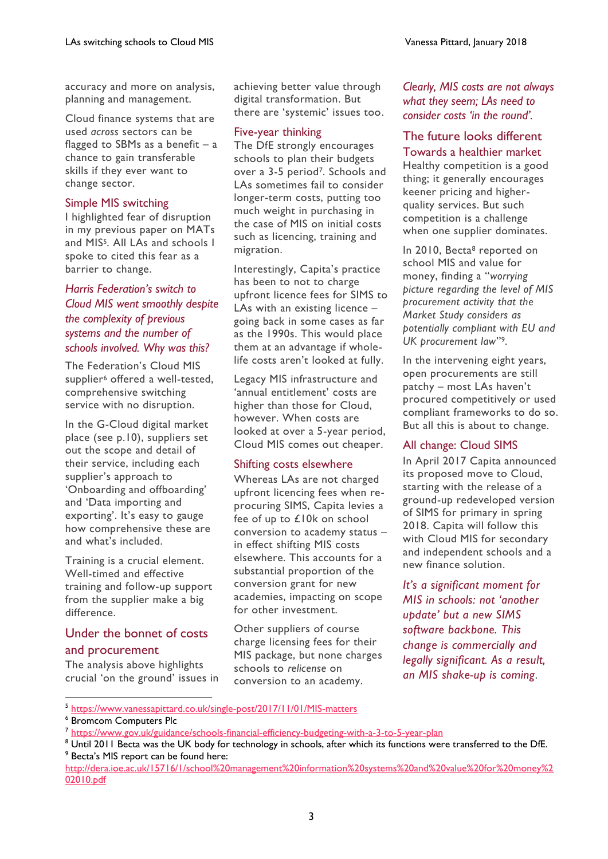accuracy and more on analysis, planning and management.

Cloud finance systems that are used *across* sectors can be flagged to SBMs as a benefit  $-$  a chance to gain transferable skills if they ever want to change sector.

#### Simple MIS switching

I highlighted fear of disruption in my previous paper on MATs and MIS5. All LAs and schools I spoke to cited this fear as a barrier to change.

## *Harris Federation's switch to Cloud MIS went smoothly despite the complexity of previous systems and the number of schools involved. Why was this?*

The Federation's Cloud MIS supplier<sup>6</sup> offered a well-tested, comprehensive switching service with no disruption.

In the G-Cloud digital market place (see p.10), suppliers set out the scope and detail of their service, including each supplier's approach to 'Onboarding and offboarding' and 'Data importing and exporting'. It's easy to gauge how comprehensive these are and what's included.

Training is a crucial element. Well-timed and effective training and follow-up support from the supplier make a big difference.

# Under the bonnet of costs and procurement

The analysis above highlights crucial 'on the ground' issues in achieving better value through digital transformation. But there are 'systemic' issues too.

#### Five-year thinking

The DfE strongly encourages schools to plan their budgets over a 3-5 period7. Schools and LAs sometimes fail to consider longer-term costs, putting too much weight in purchasing in the case of MIS on initial costs such as licencing, training and migration.

Interestingly, Capita's practice has been to not to charge upfront licence fees for SIMS to LAs with an existing licence – going back in some cases as far as the 1990s. This would place them at an advantage if wholelife costs aren't looked at fully.

Legacy MIS infrastructure and 'annual entitlement' costs are higher than those for Cloud, however. When costs are looked at over a 5-year period, Cloud MIS comes out cheaper.

#### Shifting costs elsewhere

Whereas LAs are not charged upfront licencing fees when reprocuring SIMS, Capita levies a fee of up to £10k on school conversion to academy status – in effect shifting MIS costs elsewhere. This accounts for a substantial proportion of the conversion grant for new academies, impacting on scope for other investment.

Other suppliers of course charge licensing fees for their MIS package, but none charges schools to *relicense* on conversion to an academy.

#### *Clearly, MIS costs are not always what they seem; LAs need to consider costs 'in the round'.*

#### The future looks different Towards a healthier market

Healthy competition is a good thing; it generally encourages keener pricing and higherquality services. But such competition is a challenge when one supplier dominates.

In 2010, Becta<sup>8</sup> reported on school MIS and value for money, finding a "*worrying picture regarding the level of MIS procurement activity that the Market Study considers as potentially compliant with EU and UK procurement law*" 9.

In the intervening eight years, open procurements are still patchy – most LAs haven't procured competitively or used compliant frameworks to do so. But all this is about to change.

#### All change: Cloud SIMS

In April 2017 Capita announced its proposed move to Cloud, starting with the release of a ground-up redeveloped version of SIMS for primary in spring 2018. Capita will follow this with Cloud MIS for secondary and independent schools and a new finance solution.

*It's a significant moment for MIS in schools: not 'another update' but a new SIMS software backbone. This change is commercially and legally significant. As a result, an MIS shake-up is coming*.

5 <https://www.vanessapittard.co.uk/single-post/2017/11/01/MIS-matters>

<sup>6</sup> Bromcom Computers Plc

<sup>&</sup>lt;sup>7</sup> <https://www.gov.uk/guidance/schools-financial-efficiency-budgeting-with-a-3-to-5-year-plan>

<sup>8</sup> Until 2011 Becta was the UK body for technology in schools, after which its functions were transferred to the DfE. <sup>9</sup> Becta's MIS report can be found here:

[http://dera.ioe.ac.uk/15716/1/school%20management%20information%20systems%20and%20value%20for%20money%2](http://dera.ioe.ac.uk/15716/1/school%20management%20information%20systems%20and%20value%20for%20money%202010.pdf) [02010.pdf](http://dera.ioe.ac.uk/15716/1/school%20management%20information%20systems%20and%20value%20for%20money%202010.pdf)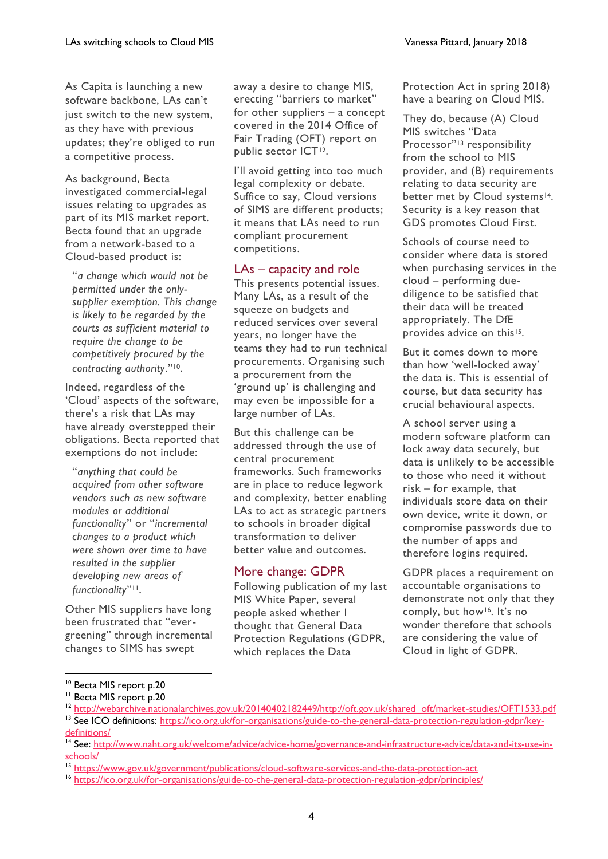As Capita is launching a new software backbone, LAs can't just switch to the new system, as they have with previous updates; they're obliged to run a competitive process.

As background, Becta investigated commercial-legal issues relating to upgrades as part of its MIS market report. Becta found that an upgrade from a network-based to a Cloud-based product is:

"*a change which would not be permitted under the onlysupplier exemption. This change is likely to be regarded by the courts as sufficient material to require the change to be competitively procured by the contracting authority*." 10.

Indeed, regardless of the 'Cloud' aspects of the software, there's a risk that LAs may have already overstepped their obligations. Becta reported that exemptions do not include:

"*anything that could be acquired from other software vendors such as new software modules or additional functionality*" or "*incremental changes to a product which were shown over time to have resulted in the supplier developing new areas of functionality*" 11.

Other MIS suppliers have long been frustrated that "evergreening" through incremental changes to SIMS has swept

away a desire to change MIS, erecting "barriers to market" for other suppliers – a concept covered in the 2014 Office of Fair Trading (OFT) report on public sector ICT12.

I'll avoid getting into too much legal complexity or debate. Suffice to say, Cloud versions of SIMS are different products; it means that LAs need to run compliant procurement competitions.

#### LAs – capacity and role

This presents potential issues. Many LAs, as a result of the squeeze on budgets and reduced services over several years, no longer have the teams they had to run technical procurements. Organising such a procurement from the 'ground up' is challenging and may even be impossible for a large number of LAs.

But this challenge can be addressed through the use of central procurement frameworks. Such frameworks are in place to reduce legwork and complexity, better enabling LAs to act as strategic partners to schools in broader digital transformation to deliver better value and outcomes.

## More change: GDPR

Following publication of my last MIS White Paper, several people asked whether I thought that General Data Protection Regulations (GDPR, which replaces the Data

Protection Act in spring 2018) have a bearing on Cloud MIS.

They do, because (A) Cloud MIS switches "Data Processor"<sup>13</sup> responsibility from the school to MIS provider, and (B) requirements relating to data security are better met by Cloud systems<sup>14</sup>. Security is a key reason that GDS promotes Cloud First.

Schools of course need to consider where data is stored when purchasing services in the cloud – performing duediligence to be satisfied that their data will be treated appropriately. The DfE provides advice on this<sup>15</sup>.

But it comes down to more than how 'well-locked away' the data is. This is essential of course, but data security has crucial behavioural aspects.

A school server using a modern software platform can lock away data securely, but data is unlikely to be accessible to those who need it without risk – for example, that individuals store data on their own device, write it down, or compromise passwords due to the number of apps and therefore logins required.

GDPR places a requirement on accountable organisations to demonstrate not only that they comply, but how16. It's no wonder therefore that schools are considering the value of Cloud in light of GDPR.

<sup>&</sup>lt;sup>10</sup> Becta MIS report p.20

<sup>&</sup>lt;sup>11</sup> Becta MIS report p.20

<sup>&</sup>lt;sup>12</sup> [http://webarchive.nationalarchives.gov.uk/20140402182449/http://oft.gov.uk/shared\\_oft/market-studies/OFT1533.pdf](http://webarchive.nationalarchives.gov.uk/20140402182449/http:/oft.gov.uk/shared_oft/market-studies/OFT1533.pdf)

<sup>&</sup>lt;sup>13</sup> See ICO definitions: [https://ico.org.uk/for-organisations/guide-to-the-general-data-protection-regulation-gdpr/key](https://ico.org.uk/for-organisations/guide-to-the-general-data-protection-regulation-gdpr/key-definitions/)[definitions/](https://ico.org.uk/for-organisations/guide-to-the-general-data-protection-regulation-gdpr/key-definitions/)

<sup>&</sup>lt;sup>14</sup> See: [http://www.naht.org.uk/welcome/advice/advice-home/governance-and-infrastructure-advice/data-and-its-use-in](http://www.naht.org.uk/welcome/advice/advice-home/governance-and-infrastructure-advice/data-and-its-use-in-schools/)[schools/](http://www.naht.org.uk/welcome/advice/advice-home/governance-and-infrastructure-advice/data-and-its-use-in-schools/)

<sup>&</sup>lt;sup>15</sup> <https://www.gov.uk/government/publications/cloud-software-services-and-the-data-protection-act>

<sup>16</sup> <https://ico.org.uk/for-organisations/guide-to-the-general-data-protection-regulation-gdpr/principles/>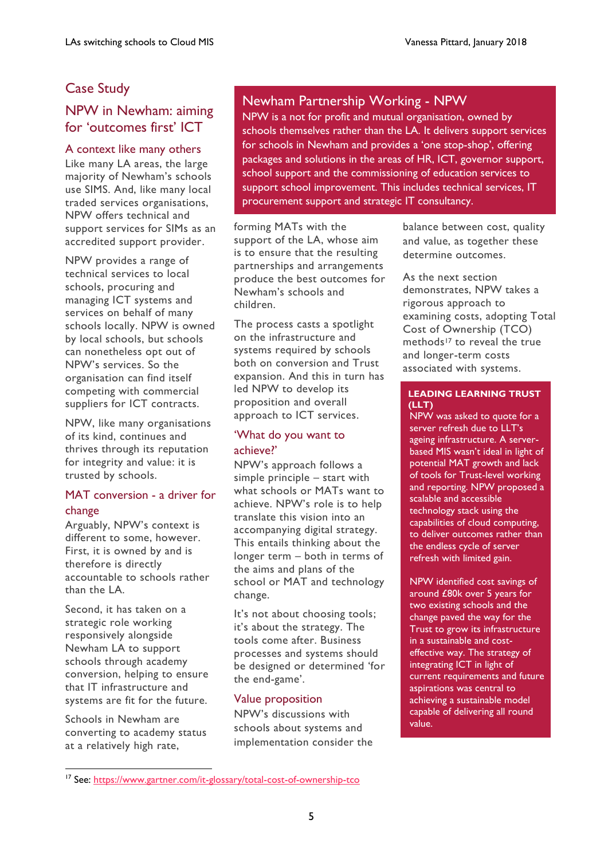# Case Study

# NPW in Newham: aiming for 'outcomes first' ICT

#### A context like many others

Like many LA areas, the large majority of Newham's schools use SIMS. And, like many local traded services organisations, NPW offers technical and support services for SIMs as an accredited support provider.

NPW provides a range of technical services to local schools, procuring and managing ICT systems and services on behalf of many schools locally. NPW is owned by local schools, but schools can nonetheless opt out of NPW's services. So the organisation can find itself competing with commercial suppliers for ICT contracts.

NPW, like many organisations of its kind, continues and thrives through its reputation for integrity and value: it is trusted by schools.

#### MAT conversion - a driver for change

Arguably, NPW's context is different to some, however. First, it is owned by and is therefore is directly accountable to schools rather than the LA.

Second, it has taken on a strategic role working responsively alongside Newham LA to support schools through academy conversion, helping to ensure that IT infrastructure and systems are fit for the future.

Schools in Newham are converting to academy status at a relatively high rate,

 $\overline{a}$ 

# Newham Partnership Working - NPW

NPW is a not for profit and mutual organisation, owned by schools themselves rather than the LA. It delivers support services for schools in Newham and provides a 'one stop-shop', offering packages and solutions in the areas of HR, ICT, governor support, school support and the commissioning of education services to support school improvement. This includes technical services, IT procurement support and strategic IT consultancy.

forming MATs with the support of the LA, whose aim is to ensure that the resulting partnerships and arrangements produce the best outcomes for Newham's schools and children.

The process casts a spotlight on the infrastructure and systems required by schools both on conversion and Trust expansion. And this in turn has led NPW to develop its proposition and overall approach to ICT services.

#### 'What do you want to achieve?'

NPW's approach follows a simple principle – start with what schools or MATs want to achieve. NPW's role is to help translate this vision into an accompanying digital strategy. This entails thinking about the longer term – both in terms of the aims and plans of the school or MAT and technology change.

It's not about choosing tools; it's about the strategy. The tools come after. Business processes and systems should be designed or determined 'for the end-game'.

#### Value proposition

NPW's discussions with schools about systems and implementation consider the balance between cost, quality and value, as together these determine outcomes.

As the next section demonstrates, NPW takes a rigorous approach to examining costs, adopting Total Cost of Ownership (TCO) methods<sup>17</sup> to reveal the true and longer-term costs associated with systems.

#### **LEADING LEARNING TRUST (LLT)**

NPW was asked to quote for a server refresh due to LLT's ageing infrastructure. A serverbased MIS wasn't ideal in light of potential MAT growth and lack of tools for Trust-level working and reporting. NPW proposed a scalable and accessible technology stack using the capabilities of cloud computing, to deliver outcomes rather than the endless cycle of server refresh with limited gain.

NPW identified cost savings of around £80k over 5 years for two existing schools and the change paved the way for the Trust to grow its infrastructure in a sustainable and costeffective way. The strategy of integrating ICT in light of current requirements and future aspirations was central to achieving a sustainable model capable of delivering all round value.

<sup>&</sup>lt;sup>17</sup> See:<https://www.gartner.com/it-glossary/total-cost-of-ownership-tco>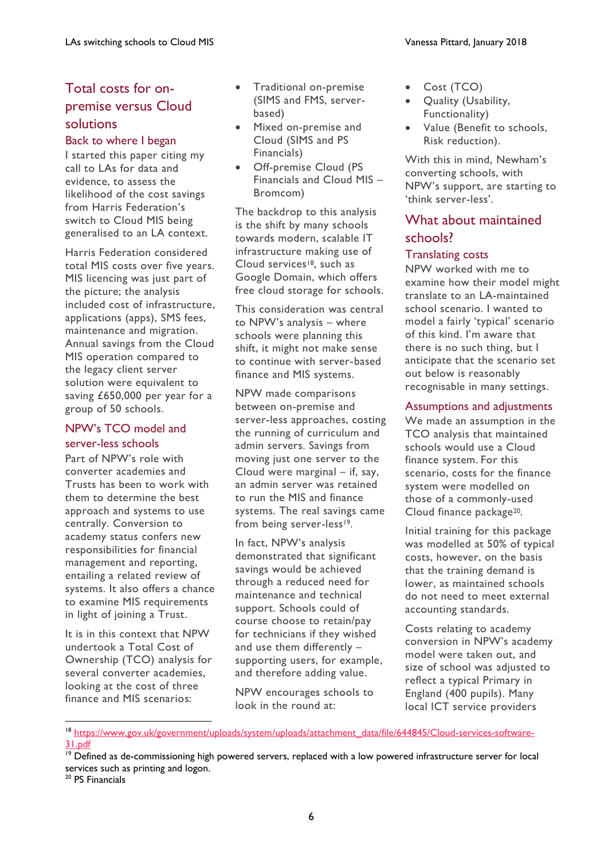# Total costs for onpremise versus Cloud solutions

#### Back to where I began

I started this paper citing my call to LAs for data and evidence, to assess the likelihood of the cost savings from Harris Federation's switch to Cloud MIS being generalised to an LA context.

Harris Federation considered total MIS costs over five years. MIS licencing was just part of the picture; the analysis included cost of infrastructure, applications (apps), SMS fees, maintenance and migration. Annual savings from the Cloud MIS operation compared to the legacy client server solution were equivalent to saving £650,000 per year for a group of 50 schools.

#### NPW's TCO model and server-less schools

Part of NPW's role with converter academies and Trusts has been to work with them to determine the best approach and systems to use centrally. Conversion to academy status confers new responsibilities for financial management and reporting, entailing a related review of systems. It also offers a chance to examine MIS requirements in light of joining a Trust.

It is in this context that NPW undertook a Total Cost of Ownership (TCO) analysis for several converter academies, looking at the cost of three finance and MIS scenarios:

- Traditional on-premise (SIMS and FMS, serverbased)
- Mixed on-premise and Cloud (SIMS and PS Financials)
- Off-premise Cloud (PS Financials and Cloud MIS – Bromcom)

The backdrop to this analysis is the shift by many schools towards modern, scalable IT infrastructure making use of Cloud services<sup>18</sup>, such as Google Domain, which offers free cloud storage for schools.

This consideration was central to NPW's analysis – where schools were planning this shift, it might not make sense to continue with server-based finance and MIS systems.

NPW made comparisons between on-premise and server-less approaches, costing the running of curriculum and admin servers. Savings from moving just one server to the Cloud were marginal – if, say, an admin server was retained to run the MIS and finance systems. The real savings came from being server-less<sup>19</sup>.

In fact, NPW's analysis demonstrated that significant savings would be achieved through a reduced need for maintenance and technical support. Schools could of course choose to retain/pay for technicians if they wished and use them differently – supporting users, for example, and therefore adding value.

NPW encourages schools to look in the round at:

- Cost (TCO)
- Quality (Usability, Functionality)
- Value (Benefit to schools, Risk reduction).

With this in mind, Newham's converting schools, with NPW's support, are starting to 'think server-less'.

# What about maintained schools?

#### Translating costs

NPW worked with me to examine how their model might translate to an LA-maintained school scenario. I wanted to model a fairly 'typical' scenario of this kind. I'm aware that there is no such thing, but I anticipate that the scenario set out below is reasonably recognisable in many settings.

## Assumptions and adjustments

We made an assumption in the TCO analysis that maintained schools would use a Cloud finance system. For this scenario, costs for the finance system were modelled on those of a commonly-used Cloud finance package20.

Initial training for this package was modelled at 50% of typical costs, however, on the basis that the training demand is lower, as maintained schools do not need to meet external accounting standards.

Costs relating to academy conversion in NPW's academy model were taken out, and size of school was adjusted to reflect a typical Primary in England (400 pupils). Many local ICT service providers

 $\overline{a}$ 

<sup>&</sup>lt;sup>18</sup> https://www<u>.gov.uk/government/uploads/system/uploads/attachment\_data/file/644845/Cloud-services-software-</u> [31.pdf](https://www.gov.uk/government/uploads/system/uploads/attachment_data/file/644845/Cloud-services-software-31.pdf)

<sup>&</sup>lt;sup>19</sup> Defined as de-commissioning high powered servers, replaced with a low powered infrastructure server for local services such as printing and logon.

<sup>&</sup>lt;sup>20</sup> PS Financials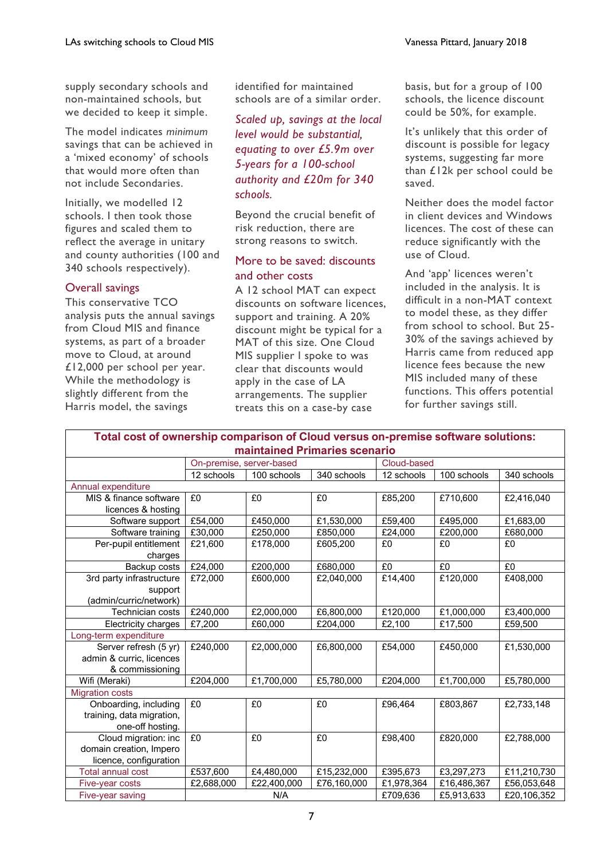supply secondary schools and non-maintained schools, but we decided to keep it simple.

The model indicates *minimum* savings that can be achieved in a 'mixed economy' of schools that would more often than not include Secondaries.

Initially, we modelled 12 schools. I then took those figures and scaled them to reflect the average in unitary and county authorities (100 and 340 schools respectively).

#### Overall savings

This conservative TCO analysis puts the annual savings from Cloud MIS and finance systems, as part of a broader move to Cloud, at around £12,000 per school per year. While the methodology is slightly different from the Harris model, the savings

identified for maintained schools are of a similar order.

*Scaled up, savings at the local level would be substantial, equating to over £5.9m over 5-years for a 100-school authority and £20m for 340 schools.*

Beyond the crucial benefit of risk reduction, there are strong reasons to switch.

#### More to be saved: discounts and other costs

A 12 school MAT can expect discounts on software licences, support and training. A 20% discount might be typical for a MAT of this size. One Cloud MIS supplier I spoke to was clear that discounts would apply in the case of LA arrangements. The supplier treats this on a case-by case

basis, but for a group of 100 schools, the licence discount could be 50%, for example.

It's unlikely that this order of discount is possible for legacy systems, suggesting far more than £12k per school could be saved.

Neither does the model factor in client devices and Windows licences. The cost of these can reduce significantly with the use of Cloud.

And 'app' licences weren't included in the analysis. It is difficult in a non-MAT context to model these, as they differ from school to school. But 25- 30% of the savings achieved by Harris came from reduced app licence fees because the new MIS included many of these functions. This offers potential for further savings still.

| Total cost of ownership comparison of Cloud versus on-premise software solutions: |                          |             |             |             |             |             |  |
|-----------------------------------------------------------------------------------|--------------------------|-------------|-------------|-------------|-------------|-------------|--|
| maintained Primaries scenario                                                     |                          |             |             |             |             |             |  |
|                                                                                   | On-premise, server-based |             |             | Cloud-based |             |             |  |
|                                                                                   | 12 schools               | 100 schools | 340 schools | 12 schools  | 100 schools | 340 schools |  |
| Annual expenditure                                                                |                          |             |             |             |             |             |  |
| MIS & finance software                                                            | £0                       | £0          | £0          | £85,200     | £710,600    | £2,416,040  |  |
| licences & hosting                                                                |                          |             |             |             |             |             |  |
| Software support                                                                  | £54,000                  | £450,000    | £1,530,000  | £59,400     | £495,000    | £1,683,00   |  |
| Software training                                                                 | £30,000                  | £250,000    | £850,000    | £24,000     | £200,000    | £680,000    |  |
| Per-pupil entitlement                                                             | £21,600                  | £178,000    | £605,200    | £0          | £0          | £0          |  |
| charges                                                                           |                          |             |             |             |             |             |  |
| Backup costs                                                                      | £24,000                  | £200,000    | £680,000    | £0          | £0          | £0          |  |
| 3rd party infrastructure                                                          | £72,000                  | £600,000    | £2,040,000  | £14,400     | £120,000    | £408,000    |  |
| support                                                                           |                          |             |             |             |             |             |  |
| (admin/curric/network)                                                            |                          |             |             |             |             |             |  |
| Technician costs                                                                  | £240,000                 | £2,000,000  | £6,800,000  | £120,000    | £1,000,000  | £3,400,000  |  |
| Electricity charges                                                               | £7,200                   | £60,000     | £204,000    | £2,100      | £17,500     | £59,500     |  |
| Long-term expenditure                                                             |                          |             |             |             |             |             |  |
| Server refresh (5 yr)                                                             | £240,000                 | £2,000,000  | £6,800,000  | £54,000     | £450,000    | £1,530,000  |  |
| admin & curric, licences                                                          |                          |             |             |             |             |             |  |
| & commissioning                                                                   |                          |             |             |             |             |             |  |
| Wifi (Meraki)                                                                     | £204,000                 | £1,700,000  | £5,780,000  | £204,000    | £1,700,000  | £5,780,000  |  |
| <b>Migration costs</b>                                                            |                          |             |             |             |             |             |  |
| Onboarding, including                                                             | £0                       | £0          | £0          | £96,464     | £803,867    | £2,733,148  |  |
| training, data migration,                                                         |                          |             |             |             |             |             |  |
| one-off hosting.                                                                  |                          |             |             |             |             |             |  |
| Cloud migration: inc                                                              | £0                       | £0          | £0          | £98,400     | £820,000    | £2,788,000  |  |
| domain creation, Impero                                                           |                          |             |             |             |             |             |  |
| licence, configuration                                                            |                          |             |             |             |             |             |  |
| <b>Total annual cost</b>                                                          | £537,600                 | £4,480,000  | £15,232,000 | £395,673    | £3,297,273  | £11,210,730 |  |
| Five-year costs                                                                   | £2,688,000               | £22,400,000 | £76,160,000 | £1,978,364  | £16,486,367 | £56,053,648 |  |
| Five-year saving                                                                  | N/A                      |             |             | £709,636    | £5,913,633  | £20,106,352 |  |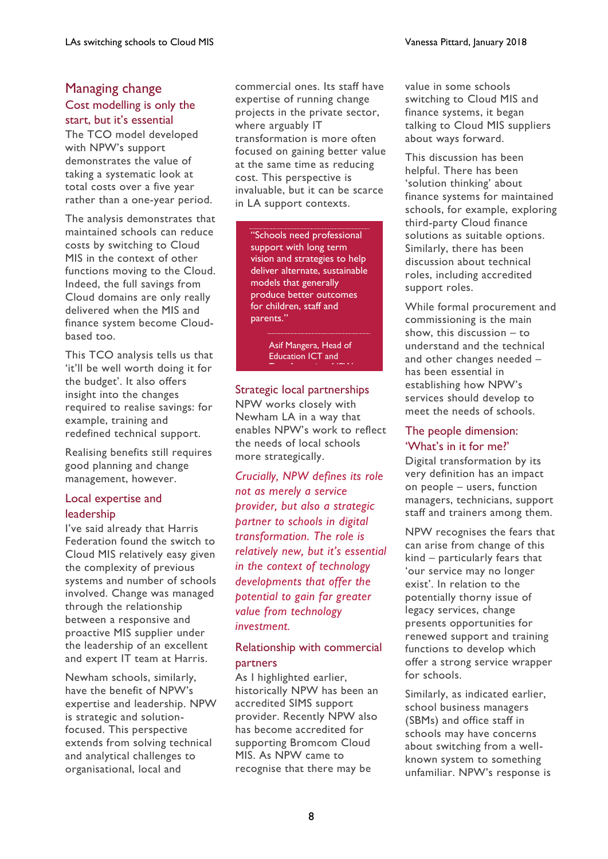## Managing change Cost modelling is only the start, but it's essential

The TCO model developed with NPW's support demonstrates the value of taking a systematic look at total costs over a five year rather than a one-year period.

The analysis demonstrates that maintained schools can reduce costs by switching to Cloud MIS in the context of other functions moving to the Cloud. Indeed, the full savings from Cloud domains are only really delivered when the MIS and finance system become Cloudbased too.

This TCO analysis tells us that 'it'll be well worth doing it for the budget'. It also offers insight into the changes required to realise savings: for example, training and redefined technical support.

Realising benefits still requires good planning and change management, however.

#### Local expertise and leadership

I've said already that Harris Federation found the switch to Cloud MIS relatively easy given the complexity of previous systems and number of schools involved. Change was managed through the relationship between a responsive and proactive MIS supplier under the leadership of an excellent and expert IT team at Harris.

Newham schools, similarly, have the benefit of NPW's expertise and leadership. NPW is strategic and solutionfocused. This perspective extends from solving technical and analytical challenges to organisational, local and

commercial ones. Its staff have expertise of running change projects in the private sector, where arguably IT transformation is more often focused on gaining better value at the same time as reducing cost. This perspective is invaluable, but it can be scarce in LA support contexts.

"Schools need professional support with long term vision and strategies to help deliver alternate, sustainable models that generally produce better outcomes for children, staff and parents."

> Asif Mangera, Head of Education ICT and Transformation, NPW.

#### Strategic local partnerships

NPW works closely with Newham LA in a way that enables NPW's work to reflect the needs of local schools more strategically.

*Crucially, NPW defines its role not as merely a service provider, but also a strategic partner to schools in digital transformation. The role is relatively new, but it's essential in the context of technology developments that offer the potential to gain far greater value from technology investment.* 

#### Relationship with commercial partners

As I highlighted earlier, historically NPW has been an accredited SIMS support provider. Recently NPW also has become accredited for supporting Bromcom Cloud MIS. As NPW came to recognise that there may be

value in some schools switching to Cloud MIS and finance systems, it began talking to Cloud MIS suppliers about ways forward.

This discussion has been helpful. There has been 'solution thinking' about finance systems for maintained schools, for example, exploring third-party Cloud finance solutions as suitable options. Similarly, there has been discussion about technical roles, including accredited support roles.

While formal procurement and commissioning is the main show, this discussion – to understand and the technical and other changes needed – has been essential in establishing how NPW's services should develop to meet the needs of schools.

#### The people dimension: 'What's in it for me?'

Digital transformation by its very definition has an impact on people – users, function managers, technicians, support staff and trainers among them.

NPW recognises the fears that can arise from change of this kind – particularly fears that 'our service may no longer exist'. In relation to the potentially thorny issue of legacy services, change presents opportunities for renewed support and training functions to develop which offer a strong service wrapper for schools.

Similarly, as indicated earlier, school business managers (SBMs) and office staff in schools may have concerns about switching from a wellknown system to something unfamiliar. NPW's response is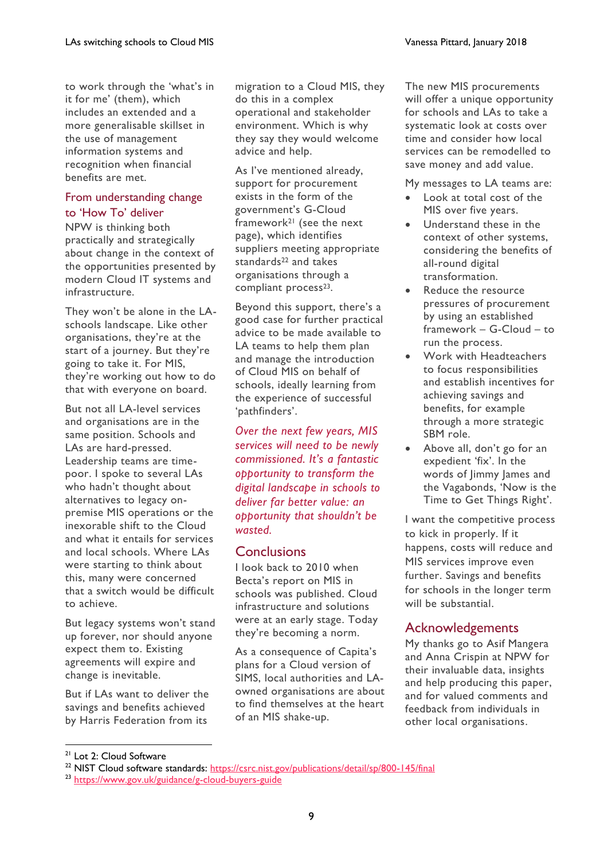to work through the 'what's in it for me' (them), which includes an extended and a more generalisable skillset in the use of management information systems and recognition when financial benefits are met.

#### From understanding change to 'How To' deliver

NPW is thinking both practically and strategically about change in the context of the opportunities presented by modern Cloud IT systems and infrastructure.

They won't be alone in the LAschools landscape. Like other organisations, they're at the start of a journey. But they're going to take it. For MIS, they're working out how to do that with everyone on board.

But not all LA-level services and organisations are in the same position. Schools and LAs are hard-pressed. Leadership teams are timepoor. I spoke to several LAs who hadn't thought about alternatives to legacy onpremise MIS operations or the inexorable shift to the Cloud and what it entails for services and local schools. Where LAs were starting to think about this, many were concerned that a switch would be difficult to achieve.

But legacy systems won't stand up forever, nor should anyone expect them to. Existing agreements will expire and change is inevitable.

But if LAs want to deliver the savings and benefits achieved by Harris Federation from its

migration to a Cloud MIS, they do this in a complex operational and stakeholder environment. Which is why they say they would welcome advice and help.

As I've mentioned already, support for procurement exists in the form of the government's G-Cloud framework<sup>21</sup> (see the next page), which identifies suppliers meeting appropriate standards<sup>22</sup> and takes organisations through a compliant process<sup>23</sup>.

Beyond this support, there's a good case for further practical advice to be made available to LA teams to help them plan and manage the introduction of Cloud MIS on behalf of schools, ideally learning from the experience of successful 'pathfinders'.

*Over the next few years, MIS services will need to be newly commissioned. It's a fantastic opportunity to transform the digital landscape in schools to deliver far better value: an opportunity that shouldn't be wasted.*

# **Conclusions**

I look back to 2010 when Becta's report on MIS in schools was published. Cloud infrastructure and solutions were at an early stage. Today they're becoming a norm.

As a consequence of Capita's plans for a Cloud version of SIMS, local authorities and LAowned organisations are about to find themselves at the heart of an MIS shake-up.

The new MIS procurements will offer a unique opportunity for schools and LAs to take a systematic look at costs over time and consider how local services can be remodelled to save money and add value.

My messages to LA teams are:

- Look at total cost of the MIS over five years.
- Understand these in the context of other systems, considering the benefits of all-round digital transformation.
- Reduce the resource pressures of procurement by using an established framework – G-Cloud – to run the process.
- Work with Headteachers to focus responsibilities and establish incentives for achieving savings and benefits, for example through a more strategic SBM role.
- Above all, don't go for an expedient 'fix'. In the words of Jimmy James and the Vagabonds, 'Now is the Time to Get Things Right'.

I want the competitive process to kick in properly. If it happens, costs will reduce and MIS services improve even further. Savings and benefits for schools in the longer term will be substantial.

# Acknowledgements

My thanks go to Asif Mangera and Anna Crispin at NPW for their invaluable data, insights and help producing this paper, and for valued comments and feedback from individuals in other local organisations.

<sup>&</sup>lt;sup>21</sup> Lot 2: Cloud Software

<sup>&</sup>lt;sup>22</sup> NIST Cloud software standards:<https://csrc.nist.gov/publications/detail/sp/800-145/final>

<sup>23</sup> <https://www.gov.uk/guidance/g-cloud-buyers-guide>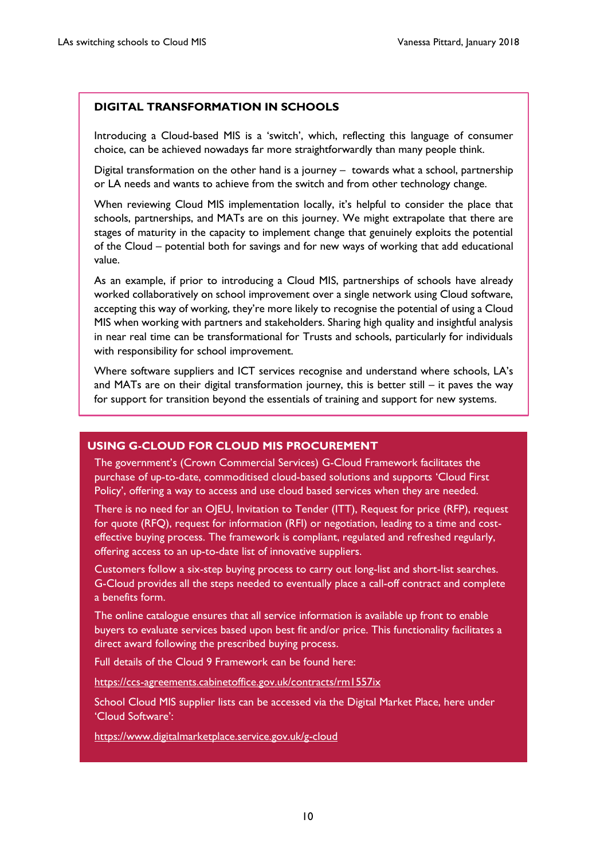#### **DIGITAL TRANSFORMATION IN SCHOOLS**

Introducing a Cloud-based MIS is a 'switch', which, reflecting this language of consumer choice, can be achieved nowadays far more straightforwardly than many people think.

Digital transformation on the other hand is a journey – towards what a school, partnership or LA needs and wants to achieve from the switch and from other technology change.

When reviewing Cloud MIS implementation locally, it's helpful to consider the place that schools, partnerships, and MATs are on this journey. We might extrapolate that there are stages of maturity in the capacity to implement change that genuinely exploits the potential of the Cloud – potential both for savings and for new ways of working that add educational value.

As an example, if prior to introducing a Cloud MIS, partnerships of schools have already worked collaboratively on school improvement over a single network using Cloud software, accepting this way of working, they're more likely to recognise the potential of using a Cloud MIS when working with partners and stakeholders. Sharing high quality and insightful analysis in near real time can be transformational for Trusts and schools, particularly for individuals with responsibility for school improvement.

Where software suppliers and ICT services recognise and understand where schools, LA's and MATs are on their digital transformation journey, this is better still  $-$  it paves the way for support for transition beyond the essentials of training and support for new systems.

#### **USING G-CLOUD FOR CLOUD MIS PROCUREMENT**

The government's (Crown Commercial Services) G-Cloud Framework facilitates the purchase of up-to-date, commoditised cloud-based solutions and supports 'Cloud First Policy', offering a way to access and use cloud based services when they are needed.

There is no need for an OJEU, Invitation to Tender (ITT), Request for price (RFP), request for quote (RFQ), request for information (RFI) or negotiation, leading to a time and costeffective buying process. The framework is compliant, regulated and refreshed regularly, offering access to an up-to-date list of innovative suppliers.

Customers follow a six-step buying process to carry out long-list and short-list searches. G-Cloud provides all the steps needed to eventually place a call-off contract and complete a benefits form.

The online catalogue ensures that all service information is available up front to enable buyers to evaluate services based upon best fit and/or price. This functionality facilitates a direct award following the prescribed buying process.

Full details of the Cloud 9 Framework can be found here:

<https://ccs-agreements.cabinetoffice.gov.uk/contracts/rm1557ix>

School Cloud MIS supplier lists can be accessed via the Digital Market Place, here under 'Cloud Software':

<https://www.digitalmarketplace.service.gov.uk/g-cloud>